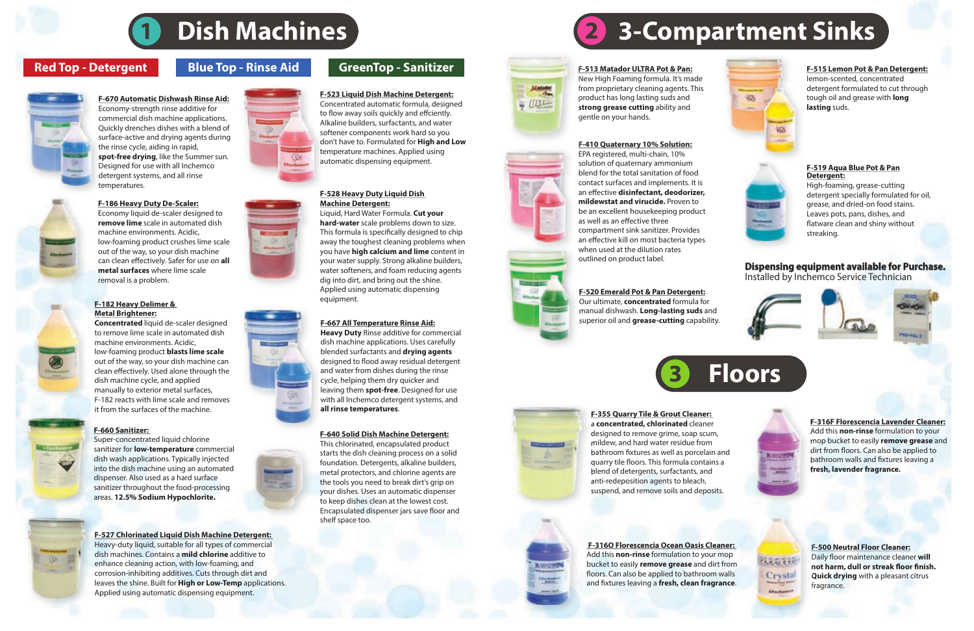#### **Dispensing equipment available for Purchase.** Installed by Inchemco Service Technician









#### lemon-scented, concentrated detergent formulated to cut through tough oil and grease with **long lasting** suds.



#### **F-410 Quaternary 10% Solution:**

EPA registered, multi-chain, 10% solution of quaternary ammonium blend for the total sanitation of food contact surfaces and implements. It is an effective disinfectant, deodorizer, **mildewstat and virucide.** Proven to be an excellent housekeeping product as well as an effective three compartment sink sanitizer. Provides an effective kill on most bacteria types when used at the dilution rates outlined on product label.

 **F-316O Florescencia Ocean Oasis Cleaner:** Add this **non-rinse** formulation to your mop bucket to easily **remove grease** and dirt from floors. Can also be applied to bathroom walls and fixtures leaving a fresh, clean fragrance.

**Norway** 





designed to remove grime, soap scum, mildew, and hard water residue from bathroom fixtures as well as porcelain and quarry tile floors. This formula contains a blend of detergents, surfactants, and anti-redeposition agents to bleach, suspend, and remove soils and deposits.

**F-316F Florescencia Lavender Cleaner:**  Add this **non-rinse** formulation to your mop bucket to easily **remove grease** and dirt from floors. Can also be applied to bathroom walls and fixtures leaving a **fresh, lavender fragrance.**



#### **F-355 Quarry Tile & Grout Cleaner:**  a **concentrated, chlorinated** cleaner

**F-500 Neutral Floor Cleaner:** Daily floor maintenance cleaner will not harm, dull or streak floor finish. **Quick drying** with a pleasant citrus fragrance.

#### **F-519 Aqua Blue Pot & Pan Detergent:**

High-foaming, grease-cutting detergent specially formulated for oil, grease, and dried-on food stains. Leaves pots, pans, dishes, and flatware clean and shiny without streaking.

# **Dish Machines 19 (2) 3-Compartment Sinks**



#### **F-670 Automatic Dishwash Rinse Aid:** Economy-strength rinse additive for commercial dish machine applications.

Quickly drenches dishes with a blend of surface-active and drying agents during the rinse cycle, aiding in rapid, **spot-free drying**, like the Summer sun. Designed for use with all Inchemco detergent systems, and all rinse temperatures.

#### **F-513 Matador ULTRA Pot & Pan:**

 $\frac{1}{2}$ 

New High Foaming formula. It's made from proprietary cleaning agents. This product has long lasting suds and **strong grease cutting** ability and gentle on your hands.

#### **F-186 Heavy Duty De-Scaler:**

Economy liquid de-scaler designed to **remove lime** scale in automated dish machine environments. Acidic, low-foaming product crushes lime scale out of the way, so your dish machine can clean effectively. Safer for use on all **metal surfaces** where lime scale removal is a problem.

#### **F-527 Chlorinated Liquid Dish Machine Detergent:**

Heavy-duty liquid, suitable for all types of commercial dish machines. Contains a **mild chlorine** additive to enhance cleaning action, with low-foaming, and corrosion-inhibiting additives. Cuts through dirt and leaves the shine. Built for **High or Low-Temp** applications. Applied using automatic dispensing equipment.

## **Red Top - Detergent Blue Top - Rinse Aid** GreenTop - Sanitizer **F-513** Matador ULTRA Pot & Pan: F-515 Lemon Pot & Pan Detergent:

#### **F-660 Sanitizer:**

Super-concentrated liquid chlorine sanitizer for **low-temperature** commercial dish wash applications. Typically injected into the dish machine using an automated dispenser. Also used as a hard surface sanitizer throughout the food-processing areas. **12.5% Sodium Hypochlorite.**

#### **F-520 Emerald Pot & Pan Detergent:** Our ultimate, **concentrated** formula for manual dishwash. **Long-lasting suds** and superior oil and **grease-cutting** capability.



#### **F-640 Solid Dish Machine Detergent:**

This chlorinated, encapsulated product starts the dish cleaning process on a solid foundation. Detergents, alkaline builders, metal protectors, and chlorine agents are the tools you need to break dirt's grip on your dishes. Uses an automatic dispenser to keep dishes clean at the lowest cost. Encapsulated dispenser jars save floor and shelf space too.

#### **F-667 All Temperature Rinse Aid:**

**Heavy Duty** Rinse additive for commercial dish machine applications. Uses carefully blended surfactants and **drying agents**  designed to flood away residual detergent and water from dishes during the rinse cycle, helping them dry quicker and leaving them **spot-free**. Designed for use with all Inchemco detergent systems, and **all rinse temperatures**.

#### **F-528 Heavy Duty Liquid Dish Machine Detergent:**

Liquid, Hard Water Formula. **Cut your hard-water** scale problems down to size. This formula is specifically designed to chip away the toughest cleaning problems when you have **high calcium and lime** content in your water supply. Strong alkaline builders, water softeners, and foam reducing agents dig into dirt, and bring out the shine. Applied using automatic dispensing equipment.

### **F-523 Liquid Dish Machine Detergent:**

Concentrated automatic formula, designed to flow away soils quickly and effciently. Alkaline builders, surfactants, and water softener components work hard so you don't have to. Formulated for **High and Low**  temperature machines. Applied using automatic dispensing equipment.

#### **F-182 Heavy Delimer & Metal Brightener:**

**Concentrated** liquid de-scaler designed to remove lime scale in automated dish machine environments. Acidic, low-foaming product **blasts lime scale**  out of the way, so your dish machine can clean effectively. Used alone through the dish machine cycle, and applied manually to exterior metal surfaces, F-182 reacts with lime scale and removes it from the surfaces of the machine.